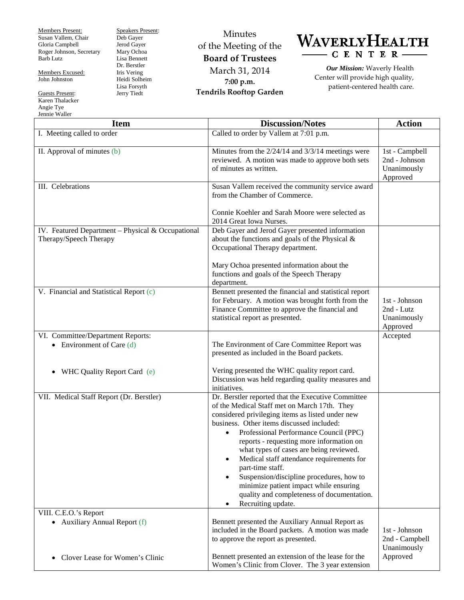Members Present: Susan Vallem, Chair Gloria Campbell Roger Johnson, Secretary Barb Lutz

Members Excused: John Johnston

Guests Present: Karen Thalacker Angie Tye Jennie Waller

Speakers Present: Deb Gayer Jerod Gayer Mary Ochoa Lisa Bennett Dr. Berstler Iris Vering Heidi Solheim Lisa Forsyth Jerry Tiedt

Minutes of the Meeting of the **Board of Trustees** March 31, 2014 **7:00 p.m. Tendrils Rooftop Garden**



*Our Mission:* Waverly Health Center will provide high quality, patient-centered health care.

| <b>Item</b>                                                                 | <b>Discussion/Notes</b>                                                                                                                                                                                                                                                                                                                                                                                                                                                                                                                                                                                     | <b>Action</b>                                              |
|-----------------------------------------------------------------------------|-------------------------------------------------------------------------------------------------------------------------------------------------------------------------------------------------------------------------------------------------------------------------------------------------------------------------------------------------------------------------------------------------------------------------------------------------------------------------------------------------------------------------------------------------------------------------------------------------------------|------------------------------------------------------------|
| I. Meeting called to order                                                  | Called to order by Vallem at 7:01 p.m.                                                                                                                                                                                                                                                                                                                                                                                                                                                                                                                                                                      |                                                            |
| II. Approval of minutes (b)                                                 | Minutes from the 2/24/14 and 3/3/14 meetings were<br>reviewed. A motion was made to approve both sets<br>of minutes as written.                                                                                                                                                                                                                                                                                                                                                                                                                                                                             | 1st - Campbell<br>2nd - Johnson<br>Unanimously<br>Approved |
| III. Celebrations                                                           | Susan Vallem received the community service award<br>from the Chamber of Commerce.<br>Connie Koehler and Sarah Moore were selected as<br>2014 Great Iowa Nurses.                                                                                                                                                                                                                                                                                                                                                                                                                                            |                                                            |
| IV. Featured Department - Physical & Occupational<br>Therapy/Speech Therapy | Deb Gayer and Jerod Gayer presented information<br>about the functions and goals of the Physical &<br>Occupational Therapy department.<br>Mary Ochoa presented information about the<br>functions and goals of the Speech Therapy<br>department.                                                                                                                                                                                                                                                                                                                                                            |                                                            |
| V. Financial and Statistical Report (c)                                     | Bennett presented the financial and statistical report<br>for February. A motion was brought forth from the<br>Finance Committee to approve the financial and<br>statistical report as presented.                                                                                                                                                                                                                                                                                                                                                                                                           | 1st - Johnson<br>2nd - Lutz<br>Unanimously<br>Approved     |
| VI. Committee/Department Reports:<br>• Environment of Care $(d)$            | The Environment of Care Committee Report was<br>presented as included in the Board packets.                                                                                                                                                                                                                                                                                                                                                                                                                                                                                                                 | Accepted                                                   |
| WHC Quality Report Card (e)<br>$\bullet$                                    | Vering presented the WHC quality report card.<br>Discussion was held regarding quality measures and<br>initiatives.                                                                                                                                                                                                                                                                                                                                                                                                                                                                                         |                                                            |
| VII. Medical Staff Report (Dr. Berstler)                                    | Dr. Berstler reported that the Executive Committee<br>of the Medical Staff met on March 17th. They<br>considered privileging items as listed under new<br>business. Other items discussed included:<br>Professional Performance Council (PPC)<br>$\bullet$<br>reports - requesting more information on<br>what types of cases are being reviewed.<br>Medical staff attendance requirements for<br>٠<br>part-time staff.<br>Suspension/discipline procedures, how to<br>$\bullet$<br>minimize patient impact while ensuring<br>quality and completeness of documentation.<br>Recruiting update.<br>$\bullet$ |                                                            |
| VIII. C.E.O.'s Report<br>• Auxiliary Annual Report (f)                      | Bennett presented the Auxiliary Annual Report as<br>included in the Board packets. A motion was made<br>to approve the report as presented.                                                                                                                                                                                                                                                                                                                                                                                                                                                                 | 1st - Johnson<br>2nd - Campbell<br>Unanimously             |
| Clover Lease for Women's Clinic                                             | Bennett presented an extension of the lease for the<br>Women's Clinic from Clover. The 3 year extension                                                                                                                                                                                                                                                                                                                                                                                                                                                                                                     | Approved                                                   |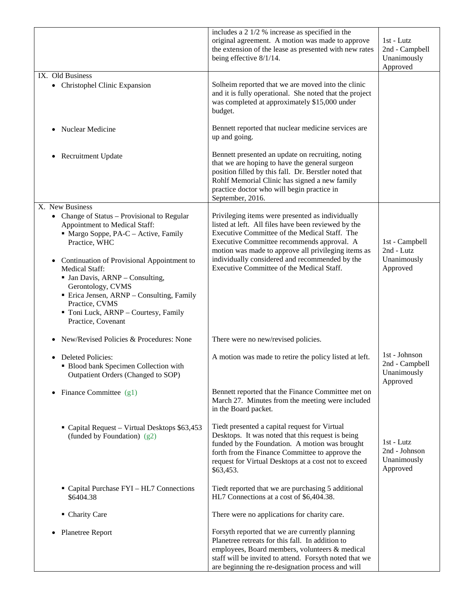|                                                                                                                                                                                                                                                                                                                                                                                                                                      | includes a $2 \frac{1}{2}$ % increase as specified in the<br>original agreement. A motion was made to approve<br>the extension of the lease as presented with new rates<br>being effective 8/1/14.                                                                                                                                                           | $1st$ - Lutz<br>2nd - Campbell<br>Unanimously<br>Approved  |
|--------------------------------------------------------------------------------------------------------------------------------------------------------------------------------------------------------------------------------------------------------------------------------------------------------------------------------------------------------------------------------------------------------------------------------------|--------------------------------------------------------------------------------------------------------------------------------------------------------------------------------------------------------------------------------------------------------------------------------------------------------------------------------------------------------------|------------------------------------------------------------|
| IX. Old Business<br>• Christophel Clinic Expansion                                                                                                                                                                                                                                                                                                                                                                                   | Solheim reported that we are moved into the clinic<br>and it is fully operational. She noted that the project<br>was completed at approximately \$15,000 under<br>budget.                                                                                                                                                                                    |                                                            |
| <b>Nuclear Medicine</b><br>$\bullet$                                                                                                                                                                                                                                                                                                                                                                                                 | Bennett reported that nuclear medicine services are<br>up and going.                                                                                                                                                                                                                                                                                         |                                                            |
| Recruitment Update<br>$\bullet$                                                                                                                                                                                                                                                                                                                                                                                                      | Bennett presented an update on recruiting, noting<br>that we are hoping to have the general surgeon<br>position filled by this fall. Dr. Berstler noted that<br>Rohlf Memorial Clinic has signed a new family<br>practice doctor who will begin practice in<br>September, 2016.                                                                              |                                                            |
| X. New Business<br>• Change of Status – Provisional to Regular<br>Appointment to Medical Staff:<br>$\blacksquare$ Margo Soppe, PA-C – Active, Family<br>Practice, WHC<br>Continuation of Provisional Appointment to<br><b>Medical Staff:</b><br><b>Jan Davis, ARNP</b> – Consulting,<br>Gerontology, CVMS<br>• Erica Jensen, ARNP - Consulting, Family<br>Practice, CVMS<br>Toni Luck, ARNP - Courtesy, Family<br>Practice, Covenant | Privileging items were presented as individually<br>listed at left. All files have been reviewed by the<br>Executive Committee of the Medical Staff. The<br>Executive Committee recommends approval. A<br>motion was made to approve all privileging items as<br>individually considered and recommended by the<br>Executive Committee of the Medical Staff. | 1st - Campbell<br>2nd - Lutz<br>Unanimously<br>Approved    |
| New/Revised Policies & Procedures: None<br>٠                                                                                                                                                                                                                                                                                                                                                                                         | There were no new/revised policies.                                                                                                                                                                                                                                                                                                                          |                                                            |
| <b>Deleted Policies:</b><br>• Blood bank Specimen Collection with<br>Outpatient Orders (Changed to SOP)                                                                                                                                                                                                                                                                                                                              | A motion was made to retire the policy listed at left.                                                                                                                                                                                                                                                                                                       | 1st - Johnson<br>2nd - Campbell<br>Unanimously<br>Approved |
| Finance Committee $(g1)$<br>$\bullet$                                                                                                                                                                                                                                                                                                                                                                                                | Bennett reported that the Finance Committee met on<br>March 27. Minutes from the meeting were included<br>in the Board packet.                                                                                                                                                                                                                               |                                                            |
| • Capital Request – Virtual Desktops \$63,453<br>(funded by Foundation) (g2)                                                                                                                                                                                                                                                                                                                                                         | Tiedt presented a capital request for Virtual<br>Desktops. It was noted that this request is being<br>funded by the Foundation. A motion was brought<br>forth from the Finance Committee to approve the<br>request for Virtual Desktops at a cost not to exceed<br>\$63,453.                                                                                 | 1st - Lutz<br>2nd - Johnson<br>Unanimously<br>Approved     |
| • Capital Purchase FYI - HL7 Connections<br>\$6404.38                                                                                                                                                                                                                                                                                                                                                                                | Tiedt reported that we are purchasing 5 additional<br>HL7 Connections at a cost of \$6,404.38.                                                                                                                                                                                                                                                               |                                                            |
| • Charity Care                                                                                                                                                                                                                                                                                                                                                                                                                       | There were no applications for charity care.                                                                                                                                                                                                                                                                                                                 |                                                            |
| Planetree Report<br>$\bullet$                                                                                                                                                                                                                                                                                                                                                                                                        | Forsyth reported that we are currently planning<br>Planetree retreats for this fall. In addition to<br>employees, Board members, volunteers & medical<br>staff will be invited to attend. Forsyth noted that we<br>are beginning the re-designation process and will                                                                                         |                                                            |